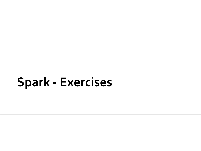### **Spark - Exercises**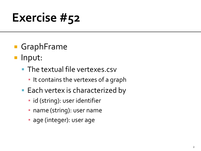- GraphFrame
- **Input:** 
	- **The textual file vertexes.csv** 
		- **.** It contains the vertexes of a graph
	- Each vertex is characterized by
		- **·** id (string): user identifier
		- **· name (string): user name**
		- **age (integer): user age**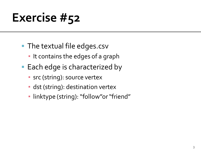- **The textual file edges.csv** 
	- **.** It contains the edges of a graph
- **Each edge is characterized by** 
	- **·** src (string): source vertex
	- **·** dst (string): destination vertex
	- linktype (string): "follow"or "friend"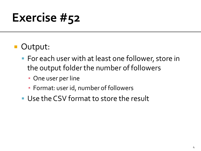- **Output:** 
	- For each user with at least one follower, store in the output folder the number of followers
		- **One user per line**
		- Format: user id, number of followers
	- Use the CSV format to store the result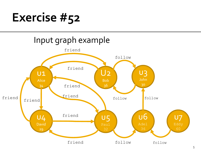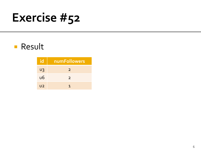#### **Result**

| id             | numFollowers  |
|----------------|---------------|
| U3             | $\mathcal{P}$ |
| <u>U6</u>      | $\mathcal{P}$ |
| U <sub>2</sub> | 1             |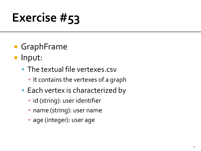- GraphFrame
- **Input:** 
	- **The textual file vertexes.csv** 
		- **.** It contains the vertexes of a graph
	- Each vertex is characterized by
		- id (string): user identifier
		- **· name (string): user name**
		- **age (integer): user age**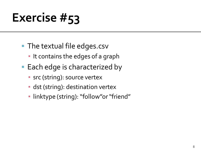- **The textual file edges.csv** 
	- **.** It contains the edges of a graph
- **Each edge is characterized by** 
	- **·** src (string): source vertex
	- **·** dst (string): destination vertex
	- linktype (string): "follow"or "friend"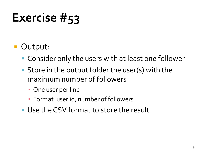- **Output:** 
	- Consider only the users with at least one follower
	- Store in the output folder the user(s) with the maximum number of followers
		- One user per line
		- Format: user id, number of followers
	- Use the CSV format to store the result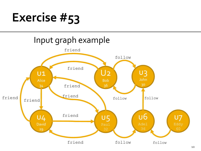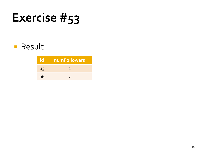#### **Result**

| lid | numFollowers  |
|-----|---------------|
| U3  | $\mathcal{L}$ |
| u6  | $\mathcal{D}$ |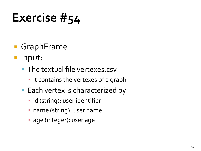- GraphFrame
- **Input:** 
	- **The textual file vertexes.csv** 
		- **.** It contains the vertexes of a graph
	- Each vertex is characterized by
		- **·** id (string): user identifier
		- **· name (string): user name**
		- **age (integer): user age**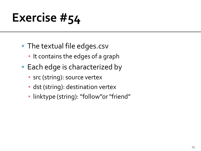- **The textual file edges.csv** 
	- **.** It contains the edges of a graph
- **Each edge is characterized by** 
	- **·** src (string): source vertex
	- **·** dst (string): destination vertex
	- linktype (string): "follow"or "friend"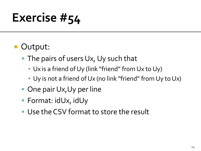- **Output:** 
	- **The pairs of users Ux, Uy such that** 
		- Ux is a friend of Uy (link "friend" from Ux to Uy)
		- Uy is not a friend of Ux (no link "friend" from Uy to Ux)
	- One pair Ux, Uy per line
	- Format: idUx, idUy
	- **Use the CSV format to store the result**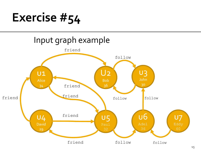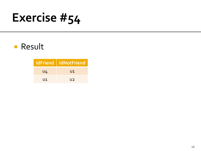#### **Result**

|       | <b>IdFriend   IdNotFriend</b> |
|-------|-------------------------------|
| $U_4$ | U1                            |
| U1    | U2                            |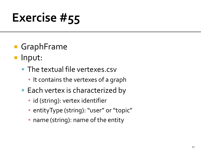- GraphFrame
- **Input:** 
	- **The textual file vertexes.csv** 
		- **.** It contains the vertexes of a graph
	- Each vertex is characterized by
		- **·** id (string): vertex identifier
		- entityType (string): "user" or "topic"
		- name (string): name of the entity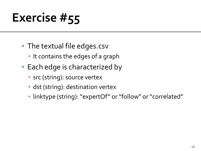- The textual file edges.csv
	- **.** It contains the edges of a graph
- Each edge is characterized by
	- **·** src (string): source vertex
	- **·** dst (string): destination vertex
	- linktype (string): "expertOf" or "follow" or "correlated"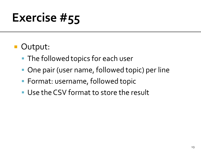- **Output:** 
	- **The followed topics for each user**
	- One pair (user name, followed topic) per line
	- **Format: username, followed topic**
	- Use the CSV format to store the result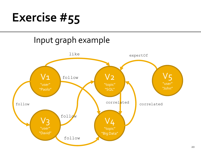#### Input graph example

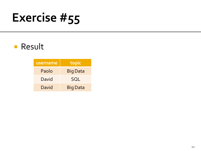#### **Result**

| username | topic           |
|----------|-----------------|
| Paolo    | <b>Big Data</b> |
| David    | <b>SOL</b>      |
| David    | <b>Big Data</b> |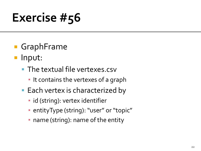- GraphFrame
- **Input:** 
	- **The textual file vertexes.csv** 
		- **.** It contains the vertexes of a graph
	- Each vertex is characterized by
		- **·** id (string): vertex identifier
		- entityType (string): "user" or "topic"
		- name (string): name of the entity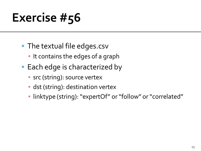- The textual file edges.csv
	- **.** It contains the edges of a graph
- Each edge is characterized by
	- **·** src (string): source vertex
	- **·** dst (string): destination vertex
	- linktype (string): "expertOf" or "follow" or "correlated"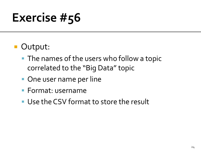- **Output:** 
	- **The names of the users who follow a topic** correlated to the "Big Data" topic
	- **One user name per line**
	- Format: username
	- Use the CSV format to store the result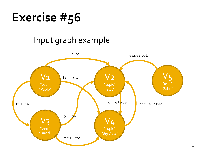#### Input graph example

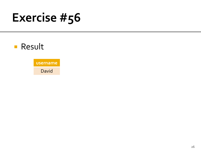### **Result**

**username** David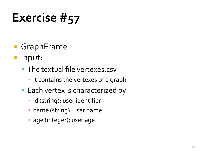- GraphFrame
- **Input:** 
	- **The textual file vertexes.csv** 
		- **.** It contains the vertexes of a graph
	- **Each vertex is characterized by** 
		- **·** id (string): user identifier
		- **· name (string): user name**
		- **age (integer): user age**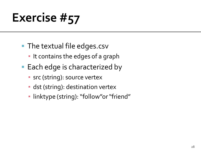- **The textual file edges.csv** 
	- **.** It contains the edges of a graph
- **Each edge is characterized by** 
	- **·** src (string): source vertex
	- **·** dst (string): destination vertex
	- linktype (string): "follow"or "friend"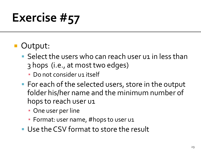#### Output:

- Select the users who can reach user u1 in less than 3 hops (i.e., at most two edges)
	- **Do not consider u1 itself**
- **For each of the selected users, store in the output** folder his/her name and the minimum number of hops to reach user u1
	- One user per line
	- **· Format: user name, #hops to user u1**
- Use the CSV format to store the result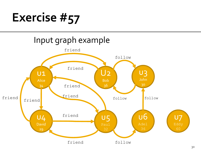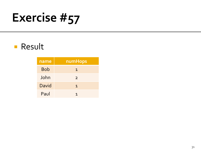#### **Result**

| name       | numHops        |
|------------|----------------|
| <b>Bob</b> | 1              |
| John       | $\overline{2}$ |
| David      | 1              |
| Paul       |                |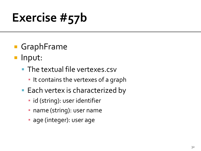- GraphFrame
- **Input:** 
	- **The textual file vertexes.csv** 
		- **.** It contains the vertexes of a graph
	- Each vertex is characterized by
		- **·** id (string): user identifier
		- **· name (string): user name**
		- **age (integer): user age**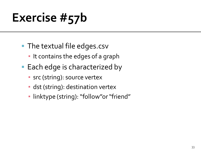- **The textual file edges.csv** 
	- **.** It contains the edges of a graph
- **Each edge is characterized by** 
	- **·** src (string): source vertex
	- **·** dst (string): destination vertex
	- linktype (string): "follow"or "friend"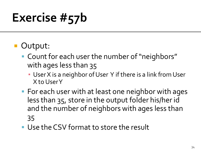#### Output:

- Count for each user the number of "neighbors" with ages less than 35
	- **· User X is a neighbor of User Y if there is a link from User** X to User Y
- For each user with at least one neighbor with ages less than 35, store in the output folder his/her id and the number of neighbors with ages less than 35
- **Use the CSV format to store the result**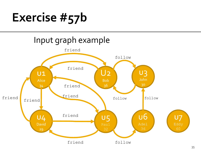